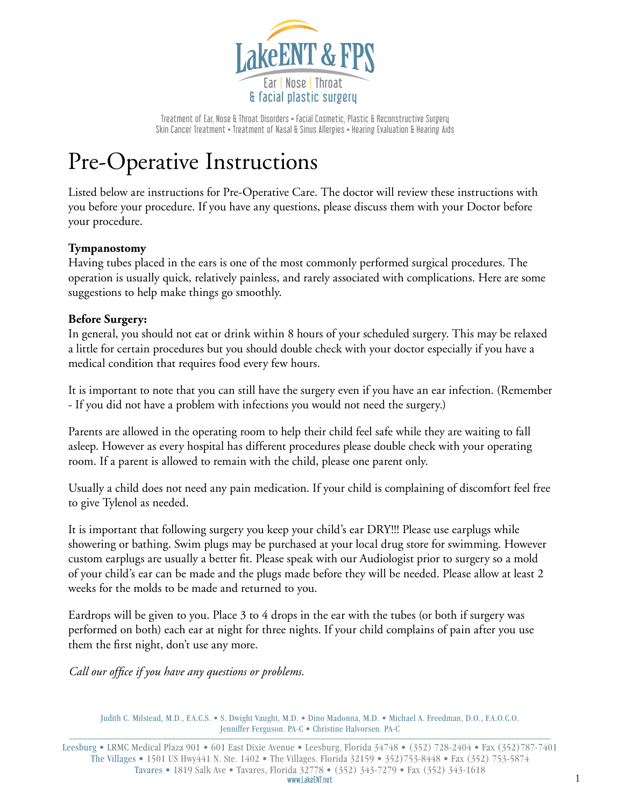

Treatment of Ear, Nose & Throat Disorders • Facial Cosmetic, Plastic & Reconstructive Surgery Skin Cancer Treatment • Treatment of Nasal & Sinus Allergies • Hearing Evaluation & Hearing Aids

# Pre-Operative Instructions

Listed below are instructions for Pre-Operative Care. The doctor will review these instructions with you before your procedure. If you have any questions, please discuss them with your Doctor before your procedure.

## **Tympanostomy**

Having tubes placed in the ears is one of the most commonly performed surgical procedures. The operation is usually quick, relatively painless, and rarely associated with complications. Here are some suggestions to help make things go smoothly.

## **Before Surgery:**

In general, you should not eat or drink within 8 hours of your scheduled surgery. This may be relaxed a little for certain procedures but you should double check with your doctor especially if you have a medical condition that requires food every few hours.

It is important to note that you can still have the surgery even if you have an ear infection. (Remember - If you did not have a problem with infections you would not need the surgery.)

Parents are allowed in the operating room to help their child feel safe while they are waiting to fall asleep. However as every hospital has different procedures please double check with your operating room. If a parent is allowed to remain with the child, please one parent only.

Usually a child does not need any pain medication. If your child is complaining of discomfort feel free to give Tylenol as needed.

It is important that following surgery you keep your child's ear DRY!!! Please use earplugs while showering or bathing. Swim plugs may be purchased at your local drug store for swimming. However custom earplugs are usually a better fit. Please speak with our Audiologist prior to surgery so a mold of your child's ear can be made and the plugs made before they will be needed. Please allow at least 2 weeks for the molds to be made and returned to you.

Eardrops will be given to you. Place 3 to 4 drops in the ear with the tubes (or both if surgery was performed on both) each ear at night for three nights. If your child complains of pain after you use them the first night, don't use any more.

*Call our office if you have any questions or problems.*

Judith C. Milstead, M.D., F.A.C.S. • S. Dwight Vaught, M.D. • Dino Madonna, M.D. • Michael A. Freedman, D.O., F.A.O.C.O. Jenniffer Ferguson. PA-C • Christine Halvorsen. PA-C